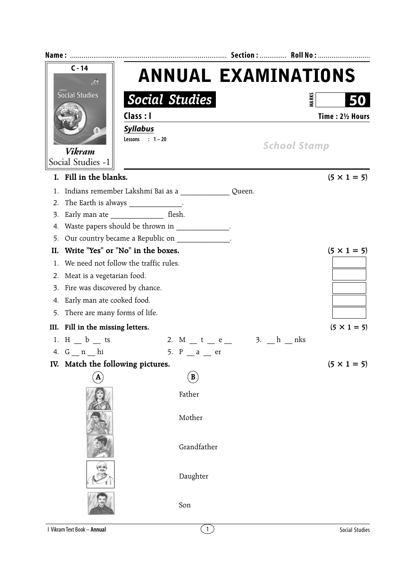| $C - 14$<br>$\mathcal{L}$<br><b>Social Studies</b><br><b>Social Studies</b><br>Class : I |                                                              |                                                 |                            |  |
|------------------------------------------------------------------------------------------|--------------------------------------------------------------|-------------------------------------------------|----------------------------|--|
|                                                                                          |                                                              |                                                 | <b>ANNUAL EXAMINATIONS</b> |  |
|                                                                                          |                                                              |                                                 | <b>MARKS</b><br>50         |  |
|                                                                                          |                                                              |                                                 |                            |  |
|                                                                                          |                                                              |                                                 | Time: 21/2 Hours           |  |
|                                                                                          | <b>Syllabus</b><br>(1)<br><b>Vikram</b><br>Social Studies -1 | Lessons : $1-20$                                | <b>School Stamp</b>        |  |
|                                                                                          | I. Fill in the blanks.                                       |                                                 | $(5 \times 1 = 5)$         |  |
| 1.                                                                                       |                                                              |                                                 |                            |  |
| 2.                                                                                       | The Earth is always ______________.                          |                                                 |                            |  |
| 3.                                                                                       |                                                              |                                                 |                            |  |
| 4.                                                                                       |                                                              | Waste papers should be thrown in _____________. |                            |  |
| 5.                                                                                       |                                                              | Our country became a Republic on                |                            |  |
|                                                                                          | II. Write "Yes" or "No" in the boxes.                        |                                                 | $(5 \times 1 = 5)$         |  |
| 1.                                                                                       | We need not follow the traffic rules.                        |                                                 |                            |  |
| 2.                                                                                       | Meat is a vegetarian food.                                   |                                                 |                            |  |
| 3.                                                                                       | Fire was discovered by chance.                               |                                                 |                            |  |
| 4.                                                                                       | Early man ate cooked food.                                   |                                                 |                            |  |
| 5.                                                                                       | There are many forms of life.                                |                                                 |                            |  |
|                                                                                          | III. Fill in the missing letters.                            |                                                 | $(5 \times 1 = 5)$         |  |
|                                                                                          | 1. H $_b$ ts                                                 | 2. M $_t = e$ 3. $_h = h$ nks                   |                            |  |
|                                                                                          | 4. $G_n$ $n$ $h$ i                                           | 5. $P$ _ a _ er                                 |                            |  |
|                                                                                          | IV. Match the following pictures.                            |                                                 | $(5 \times 1 = 5)$         |  |
|                                                                                          |                                                              | B                                               |                            |  |
|                                                                                          |                                                              | Father<br>Mother                                |                            |  |
|                                                                                          |                                                              | Grandfather                                     |                            |  |
|                                                                                          |                                                              | Daughter                                        |                            |  |
|                                                                                          |                                                              | Son                                             |                            |  |
|                                                                                          | <b>I Vikram Text Book - Annual</b>                           | $\left(1\right)$                                | Social Studies             |  |